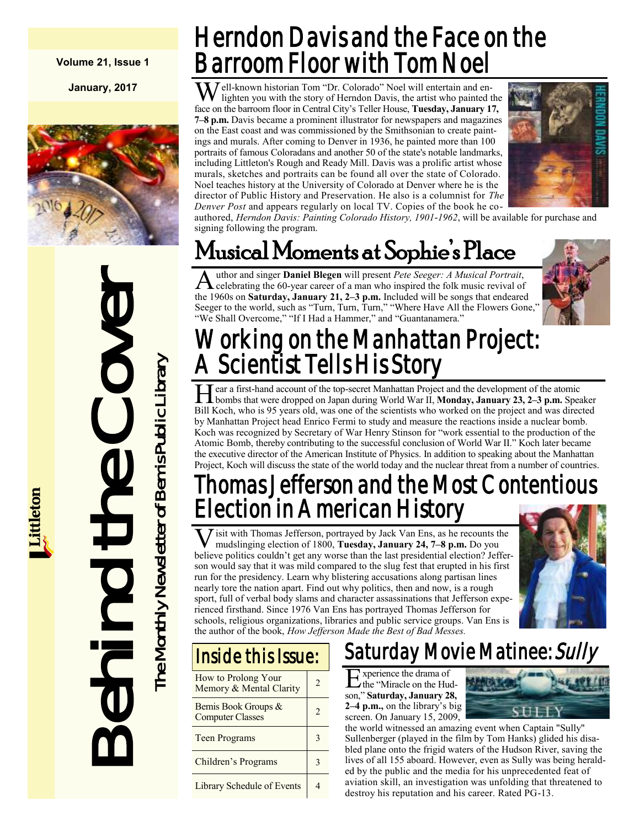#### **Volume 21, Issue 1**

**January, 2017**



**Behind the Cover**<br>The Monthly Newsletter of Bemis Public Library he Monthly Newsletter of Bemis Public Library

# Herndon Davis and the Face on the Barroom Floor with Tom Noel

Well-known historian Tom "Dr. Colorado" Noel will entertain and en-<br>lighten you with the story of Herndon Davis, the artist who painted the face on the barroom floor in Central City's Teller House, **Tuesday, January 17, 7–8 p.m.** Davis became a prominent illustrator for newspapers and magazines on the East coast and was commissioned by the Smithsonian to create paintings and murals. After coming to Denver in 1936, he painted more than 100 portraits of famous Coloradans and another 50 of the state's notable landmarks, including Littleton's Rough and Ready Mill. Davis was a prolific artist whose murals, sketches and portraits can be found all over the state of Colorado. Noel teaches history at the University of Colorado at Denver where he is the director of Public History and Preservation. He also is a columnist for *The Denver Post* and appears regularly on local TV. Copies of the book he co-



authored, *Herndon Davis: Painting Colorado History, 1901-1962*, will be available for purchase and signing following the program.

# Musical Moments at Sophie's Place

A uthor and singer **Daniel Blegen** will present *Pete Seeger: A Musical Portrait*, celebrating the 60-year career of a man who inspired the folk music revival of the 1960s on **Saturday, January 21, 2–3 p.m.** Included will be songs that endeared Seeger to the world, such as "Turn, Turn, Turn," "Where Have All the Flowers Gone," "We Shall Overcome," "If I Had a Hammer," and "Guantanamera."



# Working on the Manhattan Project: A Scientist Tells His Story

Hear a first-hand account of the top-secret Manhattan Project and the development of the atomic<br>bombs that were dropped on Japan during World War II, **Monday, January 23, 2–3 p.m.** Speaker ear a first-hand account of the top-secret Manhattan Project and the development of the atomic Bill Koch, who is 95 years old, was one of the scientists who worked on the project and was directed by Manhattan Project head Enrico Fermi to study and measure the reactions inside a nuclear bomb. Koch was recognized by Secretary of War Henry Stinson for "work essential to the production of the Atomic Bomb, thereby contributing to the successful conclusion of World War II." Koch later became the executive director of the American Institute of Physics. In addition to speaking about the Manhattan Project, Koch will discuss the state of the world today and the nuclear threat from a number of countries.

## Thomas Jefferson and the Most Contentious Election in American History

 $\overline{\textbf{V}}$ isit with Thomas Jefferson, portrayed by Jack Van Ens, as he recounts the mudslinging election of 1800, **Tuesday, January 24, 7–8 p.m.** Do you believe politics couldn't get any worse than the last presidential election? Jefferson would say that it was mild compared to the slug fest that erupted in his first run for the presidency. Learn why blistering accusations along partisan lines nearly tore the nation apart. Find out why politics, then and now, is a rough sport, full of verbal body slams and character assassinations that Jefferson experienced firsthand. Since 1976 Van Ens has portrayed Thomas Jefferson for schools, religious organizations, libraries and public service groups. Van Ens is the author of the book, *How Jefferson Made the Best of Bad Messes.*



### Inside this Issue:

| How to Prolong Your<br>Memory & Mental Clarity | 2 |
|------------------------------------------------|---|
| Bemis Book Groups &<br><b>Computer Classes</b> | 2 |
| <b>Teen Programs</b>                           |   |
| Children's Programs                            |   |
| Library Schedule of Events                     |   |

### Saturday Movie Matinee: Sully

Experience the drama of<br>the "Miracle on the Hud the "Miracle on the Hudson," **Saturday, January 28, 2–4 p.m.,** on the library's big screen. On January 15, 2009,



the world witnessed an amazing event when Captain "Sully" Sullenberger (played in the film by Tom Hanks) glided his disabled plane onto the frigid waters of the Hudson River, saving the lives of all 155 aboard. However, even as Sully was being heralded by the public and the media for his unprecedented feat of aviation skill, an investigation was unfolding that threatened to destroy his reputation and his career. Rated PG-13.

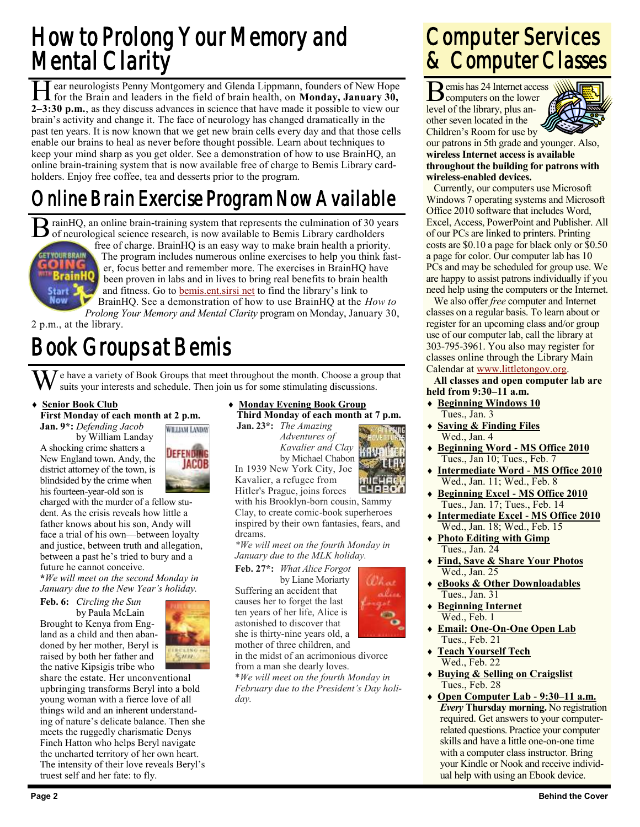# How to Prolong Your Memory and Mental Clarity

**H** ear neurologists Penny Montgomery and Glenda Lippmann, founders of New Hope for the Brain and leaders in the field of brain health, on **Monday, January 30, 2–3:30 p.m.**, as they discuss advances in science that have ma ear neurologists Penny Montgomery and Glenda Lippmann, founders of New Hope for the Brain and leaders in the field of brain health, on **Monday, January 30,**  brain's activity and change it. The face of neurology has changed dramatically in the past ten years. It is now known that we get new brain cells every day and that those cells enable our brains to heal as never before thought possible. Learn about techniques to keep your mind sharp as you get older. See a demonstration of how to use BrainHQ, an online brain-training system that is now available free of charge to Bemis Library cardholders. Enjoy free coffee, tea and desserts prior to the program.

# Online Brain Exercise Program Now Available

B rainHQ, an online brain-training system that represents the culmination of 30 ye of neurological science research, is now available to Bemis Library cardholders rainHQ, an online brain-training system that represents the culmination of 30 years



free of charge. BrainHQ is an easy way to make brain health a priority. The program includes numerous online exercises to help you think faster, focus better and remember more. The exercises in BrainHQ have been proven in labs and in lives to bring real benefits to brain health and fitness. Go to [bemis.ent.sirsi net](http://bemis.ent.sirsi.net/client/en_US/default/) to find the library's link to BrainHQ. See a demonstration of how to use BrainHQ at the *How to* 

*Prolong Your Memory and Mental Clarity* program on Monday, January 30, 2 p.m., at the library.

# Book Groups at Bemis

 $\bar{J}$  e have a variety of Book Groups that meet throughout the month. Choose a group that suits your interests and schedule. Then join us for some stimulating discussions.

**Senior Book Club**

**First Monday of each month at 2 p.m.**

**Jan. 9\*:** *Defending Jacob*

by William Landay A shocking crime shatters a New England town. Andy, the district attorney of the town, is blindsided by the crime when his fourteen-year-old son is



charged with the murder of a fellow student. As the crisis reveals how little a father knows about his son, Andy will face a trial of his own—between loyalty and justice, between truth and allegation, between a past he's tried to bury and a future he cannot conceive.

**\****We will meet on the second Monday in January due to the New Year's holiday.*

**Feb. 6:** *Circling the Sun* by Paula McLain Brought to Kenya from England as a child and then aban-

doned by her mother, Beryl is raised by both her father and the native Kipsigis tribe who

share the estate. Her unconventional upbringing transforms Beryl into a bold young woman with a fierce love of all things wild and an inherent understanding of nature's delicate balance. Then she meets the ruggedly charismatic Denys Finch Hatton who helps Beryl navigate the uncharted territory of her own heart. The intensity of their love reveals Beryl's truest self and her fate: to fly.

 **Monday Evening Book Group Third Monday of each month at 7 p.m.**

**Jan. 23\*:** *The Amazing Adventures of Kavalier and Clay* by Michael Chabon In 1939 New York City, Joe

Kavalier, a refugee from Hitler's Prague, joins forces with his Brooklyn-born cousin, Sammy Clay, to create comic-book superheroes inspired by their own fantasies, fears, and dreams.

*\*We will meet on the fourth Monday in January due to the MLK holiday.*

**Feb. 27\*:** *What Alice Forgot* by Liane Moriarty Suffering an accident that causes her to forget the last ten years of her life, Alice is astonished to discover that she is thirty-nine years old, a mother of three children, and



from a man she dearly loves. \**We will meet on the fourth Monday in February due to the President's Day holiday.*

in the midst of an acrimonious divorce

### Computer Services & Computer Classes

Bemis has 24 Internet access<br>
computers on the lower computers on the lower level of the library, plus another seven located in the Children's Room for use by



our patrons in 5th grade and younger. Also, **wireless Internet access is available throughout the building for patrons with wireless-enabled devices.**

Currently, our computers use Microsoft Windows 7 operating systems and Microsoft Office 2010 software that includes Word, Excel, Access, PowerPoint and Publisher. All of our PCs are linked to printers. Printing costs are \$0.10 a page for black only or \$0.50 a page for color. Our computer lab has 10 PCs and may be scheduled for group use. We are happy to assist patrons individually if you need help using the computers or the Internet.

We also offer *free* computer and Internet classes on a regular basis. To learn about or register for an upcoming class and/or group use of our computer lab, call the library at 303-795-3961. You also may register for classes online through the Library Main Calendar at [www.littletongov.org.](http://www.littletongov.org/city-services/city-departments/bemis-library/library-events-calendar)

**All classes and open computer lab are held from 9:30–11 a.m.**

- **Beginning Windows 10** Tues., Jan. 3
- **Saving & Finding Files** Wed., Jan. 4
- **Beginning Word - MS Office 2010** Tues., Jan 10; Tues., Feb. 7
- **Intermediate Word - MS Office 2010** Wed., Jan. 11; Wed., Feb. 8
- **Beginning Excel - MS Office 2010** Tues., Jan. 17; Tues., Feb. 14
- **Intermediate Excel - MS Office 2010** Wed., Jan. 18; Wed., Feb. 15
- **Photo Editing with Gimp** Tues., Jan. 24
- **Find, Save & Share Your Photos** Wed., Jan. 25
- **eBooks & Other Downloadables** Tues., Jan. 31
- **Beginning Internet** Wed., Feb. 1
- **Email: One-On-One Open Lab** Tues., Feb. 21
- **Teach Yourself Tech** Wed., Feb. 22
- **Buying & Selling on Craigslist** Tues., Feb. 28
- **Open Computer Lab - 9:30–11 a.m.** *Every* **Thursday morning.** No registration required. Get answers to your computerrelated questions. Practice your computer skills and have a little one-on-one time with a computer class instructor. Bring your Kindle or Nook and receive individual help with using an Ebook device.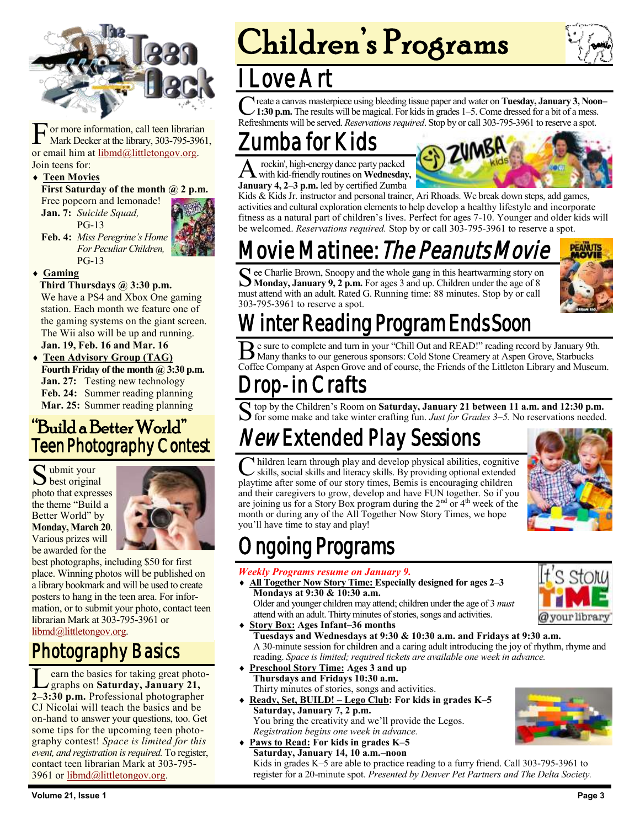

F or more information, call teen librarian Mark Decker at the library, 303-795-3961, or email him at [libmd@littletongov.org.](mailto:libmd@littletongov.org)  Join teens for:

#### **Teen Movies**

**First Saturday of the month @ 2 p.m.**

Free popcorn and lemonade! **Jan. 7:** *Suicide Squad,* PG-13



**Feb. 4:** *Miss Peregrine's Home For Peculiar Children,* PG-13

#### **Gaming**

#### **Third Thursdays @ 3:30 p.m.**

We have a PS4 and Xbox One gaming station. Each month we feature one of the gaming systems on the giant screen. The Wii also will be up and running. **Jan. 19, Feb. 16 and Mar. 16**

 **Teen Advisory Group (TAG) Fourth Friday of the month @ 3:30 p.m. Jan. 27:** Testing new technology **Feb. 24:** Summer reading planning **Mar. 25:** Summer reading planning

#### "Build a Better World" Teen Photography Contest

 $S<sub>best</sub>$  original when when your photo that expresses the theme "Build a Better World" by **Monday, March 20**. Various prizes will be awarded for the



best photographs, including \$50 for first place. Winning photos will be published on a library bookmark and will be used to create posters to hang in the teen area. For information, or to submit your photo, contact teen librarian Mark at 303-795-3961 or [libmd@littletongov.org.](mailto:libmd@littletongov.org)

#### Photography Basics

Learn the basics for taking great photographs on **Saturday**, **January 21**,<br>2–3:30 p.m. Professional photographer earn the basics for taking great photographs on **Saturday, January 21,** CJ Nicolai will teach the basics and be on-hand to answer your questions, too. Get some tips for the upcoming teen photography contest! *Space is limited for this event, and registration is required.* To register, contact teen librarian Mark at 303-795 3961 or [libmd@littletongov.org.](mailto:libmd@littletongov.org)

# Children's Programs



### ove Ar

C reate a canvas masterpiece using bleeding tissue paper and water on Tuesday, January 3, Noor 1:30 p.m. The results will be magical. For kids in grades 1–5. Come dressed for a bit of a mess. reate a canvas masterpiece using bleeding tissue paper and water on **Tuesday, January 3, Noon–** Refreshments will be served. *Reservations required*. Stop by or call 303-795-3961 to reserve a spot.

### Zumba for Kids

A with kid-friendly routines on **Wednesday,** rockin', high-energy dance party packed **January 4, 2–3 p.m.** led by certified Zumba



Kids & Kids Jr. instructor and personal trainer, Ari Rhoads. We break down steps, add games, activities and cultural exploration elements to help develop a healthy lifestyle and incorporate fitness as a natural part of children's lives. Perfect for ages 7-10. Younger and older kids will be welcomed. *Reservations required.* Stop by or call 303-795-3961 to reserve a spot.

# ovie Matinee: *The Peanuts Movie*

See Charlie Brown, Snoopy and the whole gang in this heartwarming story on **SMonday, January 9, 2 p.m.** For ages 3 and up. Children under the age of 8 **Monday, January 9, 2 p.m.** For ages 3 and up. Children under the age of 8 must attend with an adult. Rated G. Running time: 88 minutes. Stop by or call 303-795-3961 to reserve a spot.



# inter Reading Program Ends Soon

Be sure to complete and turn in your "Chill Out and READ!" reading record by January 9th<br>Many thanks to our generous sponsors: Cold Stone Creamery at Aspen Grove, Starbucks e sure to complete and turn in your "Chill Out and READ!" reading record by January 9th. Coffee Company at Aspen Grove and of course, the Friends of the Littleton Library and Museum.

# rop-in Crafts

S top by the Children's Room on Saturday, January 21 between 11 a.m. and 12:30 p.m.<br>S for some make and take winter crafting fun. *Just for Grades 3–5*. No reservations needed. top by the Children's Room on **Saturday, January 21 between 11 a.m. and 12:30 p.m.** 

# New Extended Play Sessions

C hildren learn through play and develop physical abilities, cognitiv<br>skills, social skills and literacy skills. By providing optional extended<br>playtime after some of our story times, Bemis is encouraging children hildren learn through play and develop physical abilities, cognitive skills, social skills and literacy skills. By providing optional extended and their caregivers to grow, develop and have FUN together. So if you are joining us for a Story Box program during the  $2<sup>nd</sup>$  or  $4<sup>th</sup>$  week of the month or during any of the All Together Now Story Times, we hope you'll have time to stay and play!



### ngoing Programs

#### *Weekly Programs resume on January 9.*

 **All Together Now Story Time: Especially designed for ages 2–3 Mondays at 9:30 & 10:30 a.m.**

Older and younger children may attend; children under the age of 3 *must*  attend with an adult. Thirty minutes of stories, songs and activities.

- **Story Box: Ages Infant–36 months Tuesdays and Wednesdays at 9:30 & 10:30 a.m. and Fridays at 9:30 a.m.** A 30-minute session for children and a caring adult introducing the joy of rhythm, rhyme and reading. *Space is limited; required tickets are available one week in advance.*
- **Preschool Story Time: Ages 3 and up Thursdays and Fridays 10:30 a.m.** Thirty minutes of stories, songs and activities.
- **Ready, Set, BUILD! – Lego Club: For kids in grades K–5 Saturday, January 7, 2 p.m.** You bring the creativity and we'll provide the Legos. *Registration begins one week in advance.*
- **Paws to Read: For kids in grades K–5 Saturday, January 14, 10 a.m.–noon** Kids in grades K–5 are able to practice reading to a furry friend. Call 303-795-3961 to register for a 20-minute spot. *Presented by Denver Pet Partners and The Delta Society.*